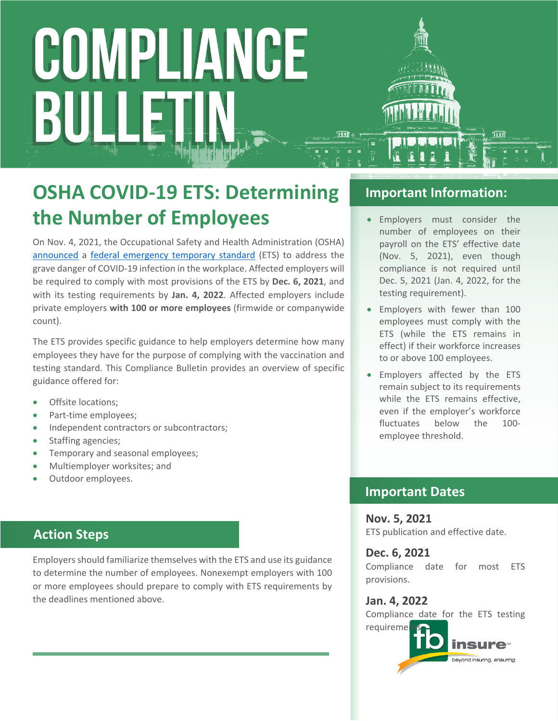# COMPLIANCE BULI

### **OSHA COVID-19 ETS: Determining the Number of Employees**

On Nov. 4, 2021, the Occupational Safety and Health Administration (OSHA) [announced](https://www.osha.gov/news/newsreleases/national/11042021) a [federal emergency temporary standard](https://www.federalregister.gov/public-inspection/2021-23643/covid-19-vaccination-and-testing-emergency-temporary-standard) (ETS) to address the grave danger of COVID-19 infection in the workplace. Affected employers will be required to comply with most provisions of the ETS by **Dec. 6, 2021**, and with its testing requirements by **Jan. 4, 2022**. Affected employers include private employers **with 100 or more employees** (firmwide or companywide count).

The ETS provides specific guidance to help employers determine how many employees they have for the purpose of complying with the vaccination and testing standard. This Compliance Bulletin provides an overview of specific guidance offered for:

- Offsite locations:
- Part-time employees;
- Independent contractors or subcontractors;
- Staffing agencies;
- Temporary and seasonal employees;
- Multiemployer worksites; and
- Outdoor employees.

#### **Action Steps**

Employers should familiarize themselves with the ETS and use its guidance to determine the number of employees. Nonexempt employers with 100 or more employees should prepare to comply with ETS requirements by the deadlines mentioned above.

#### **Important Information:**

- Employers must consider the number of employees on their payroll on the ETS' effective date (Nov. 5, 2021), even though compliance is not required until Dec. 5, 2021 (Jan. 4, 2022, for the testing requirement).
- Employers with fewer than 100 employees must comply with the ETS (while the ETS remains in effect) if their workforce increases to or above 100 employees.
- Employers affected by the ETS remain subject to its requirements while the ETS remains effective, even if the employer's workforce fluctuates below the 100 employee threshold.

#### **Important Dates**

#### **Nov. 5, 2021** ETS publication and effective date.

#### **Dec. 6, 2021**

Compliance date for most ETS provisions.

#### **Jan. 4, 2022**

Compliance date for the ETS testing requireme

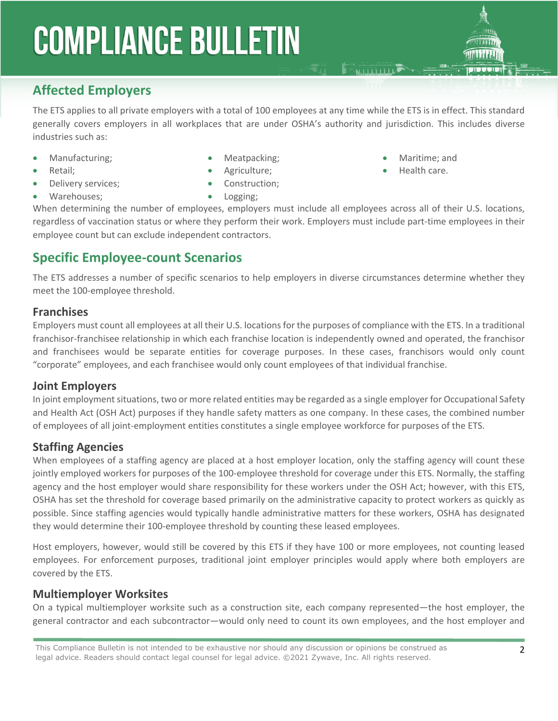#### **Affected Employers**

The ETS applies to all private employers with a total of 100 employees at any time while the ETS is in effect. This standard generally covers employers in all workplaces that are under OSHA's authority and jurisdiction. This includes diverse industries such as:

- Manufacturing;
- Retail;
- Delivery services;
- Meatpacking;
- Agriculture;
	- Construction;
- Maritime; and
- Health care.

**E MILLION** 

• Warehouses;

• Logging;

When determining the number of employees, employers must include all employees across all of their U.S. locations, regardless of vaccination status or where they perform their work. Employers must include part-time employees in their employee count but can exclude independent contractors.

#### **Specific Employee-count Scenarios**

The ETS addresses a number of specific scenarios to help employers in diverse circumstances determine whether they meet the 100-employee threshold.

#### **Franchises**

Employers must count all employees at all their U.S. locations for the purposes of compliance with the ETS. In a traditional franchisor-franchisee relationship in which each franchise location is independently owned and operated, the franchisor and franchisees would be separate entities for coverage purposes. In these cases, franchisors would only count "corporate" employees, and each franchisee would only count employees of that individual franchise.

#### **Joint Employers**

In joint employment situations, two or more related entities may be regarded as a single employer for Occupational Safety and Health Act (OSH Act) purposes if they handle safety matters as one company. In these cases, the combined number of employees of all joint-employment entities constitutes a single employee workforce for purposes of the ETS.

#### **Staffing Agencies**

When employees of a staffing agency are placed at a host employer location, only the staffing agency will count these jointly employed workers for purposes of the 100-employee threshold for coverage under this ETS. Normally, the staffing agency and the host employer would share responsibility for these workers under the OSH Act; however, with this ETS, OSHA has set the threshold for coverage based primarily on the administrative capacity to protect workers as quickly as possible. Since staffing agencies would typically handle administrative matters for these workers, OSHA has designated they would determine their 100-employee threshold by counting these leased employees.

Host employers, however, would still be covered by this ETS if they have 100 or more employees, not counting leased employees. For enforcement purposes, traditional joint employer principles would apply where both employers are covered by the ETS.

#### **Multiemployer Worksites**

On a typical multiemployer worksite such as a construction site, each company represented—the host employer, the general contractor and each subcontractor—would only need to count its own employees, and the host employer and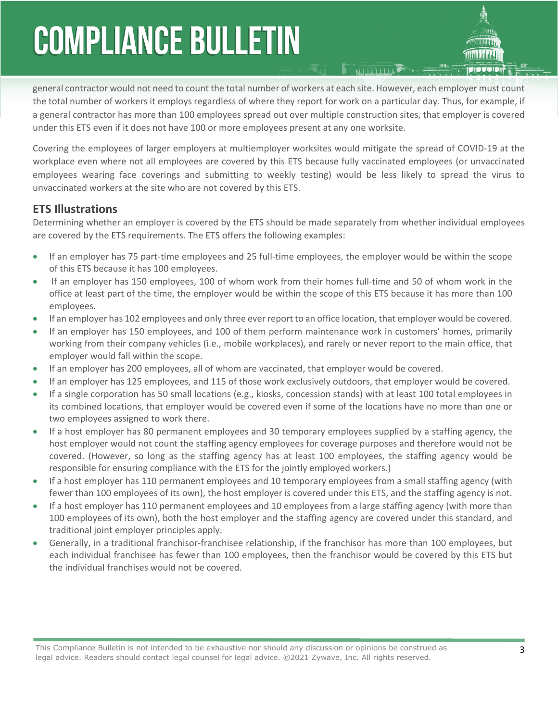general contractor would not need to count the total number of workers at each site. However, each employer must count the total number of workers it employs regardless of where they report for work on a particular day. Thus, for example, if a general contractor has more than 100 employees spread out over multiple construction sites, that employer is covered under this ETS even if it does not have 100 or more employees present at any one worksite.

Covering the employees of larger employers at multiemployer worksites would mitigate the spread of COVID-19 at the workplace even where not all employees are covered by this ETS because fully vaccinated employees (or unvaccinated employees wearing face coverings and submitting to weekly testing) would be less likely to spread the virus to unvaccinated workers at the site who are not covered by this ETS.

#### **ETS Illustrations**

Determining whether an employer is covered by the ETS should be made separately from whether individual employees are covered by the ETS requirements. The ETS offers the following examples:

- If an employer has 75 part-time employees and 25 full-time employees, the employer would be within the scope of this ETS because it has 100 employees.
- If an employer has 150 employees, 100 of whom work from their homes full-time and 50 of whom work in the office at least part of the time, the employer would be within the scope of this ETS because it has more than 100 employees.
- If an employer has 102 employees and only three ever report to an office location, that employer would be covered.
- If an employer has 150 employees, and 100 of them perform maintenance work in customers' homes, primarily working from their company vehicles (i.e., mobile workplaces), and rarely or never report to the main office, that employer would fall within the scope.
- If an employer has 200 employees, all of whom are vaccinated, that employer would be covered.
- If an employer has 125 employees, and 115 of those work exclusively outdoors, that employer would be covered.
- If a single corporation has 50 small locations (e.g., kiosks, concession stands) with at least 100 total employees in its combined locations, that employer would be covered even if some of the locations have no more than one or two employees assigned to work there.
- If a host employer has 80 permanent employees and 30 temporary employees supplied by a staffing agency, the host employer would not count the staffing agency employees for coverage purposes and therefore would not be covered. (However, so long as the staffing agency has at least 100 employees, the staffing agency would be responsible for ensuring compliance with the ETS for the jointly employed workers.)
- If a host employer has 110 permanent employees and 10 temporary employees from a small staffing agency (with fewer than 100 employees of its own), the host employer is covered under this ETS, and the staffing agency is not.
- If a host employer has 110 permanent employees and 10 employees from a large staffing agency (with more than 100 employees of its own), both the host employer and the staffing agency are covered under this standard, and traditional joint employer principles apply.
- Generally, in a traditional franchisor-franchisee relationship, if the franchisor has more than 100 employees, but each individual franchisee has fewer than 100 employees, then the franchisor would be covered by this ETS but the individual franchises would not be covered.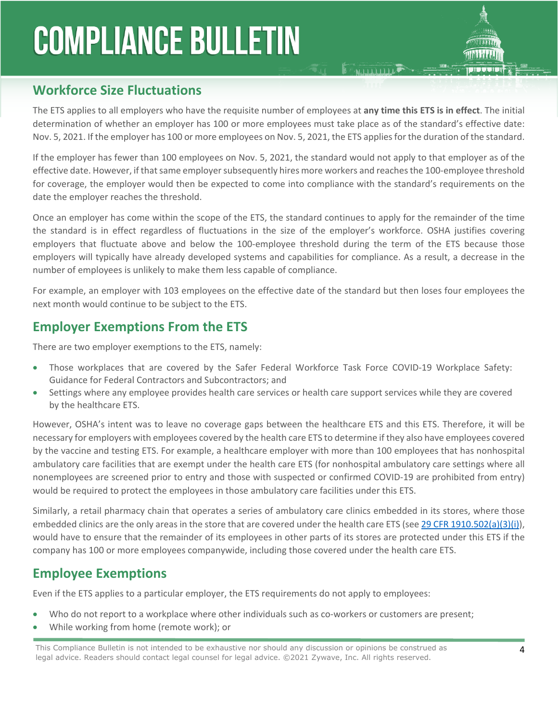

#### **Workforce Size Fluctuations**

The ETS applies to all employers who have the requisite number of employees at **any time this ETS is in effect**. The initial determination of whether an employer has 100 or more employees must take place as of the standard's effective date: Nov. 5, 2021. If the employer has 100 or more employees on Nov. 5, 2021, the ETS applies for the duration of the standard.

**FRIDDID** 

If the employer has fewer than 100 employees on Nov. 5, 2021, the standard would not apply to that employer as of the effective date. However, if that same employer subsequently hires more workers and reaches the 100-employee threshold for coverage, the employer would then be expected to come into compliance with the standard's requirements on the date the employer reaches the threshold.

Once an employer has come within the scope of the ETS, the standard continues to apply for the remainder of the time the standard is in effect regardless of fluctuations in the size of the employer's workforce. OSHA justifies covering employers that fluctuate above and below the 100-employee threshold during the term of the ETS because those employers will typically have already developed systems and capabilities for compliance. As a result, a decrease in the number of employees is unlikely to make them less capable of compliance.

For example, an employer with 103 employees on the effective date of the standard but then loses four employees the next month would continue to be subject to the ETS.

#### **Employer Exemptions From the ETS**

There are two employer exemptions to the ETS, namely:

- Those workplaces that are covered by the Safer Federal Workforce Task Force COVID-19 Workplace Safety: Guidance for Federal Contractors and Subcontractors; and
- Settings where any employee provides health care services or health care support services while they are covered by the healthcare ETS.

However, OSHA's intent was to leave no coverage gaps between the healthcare ETS and this ETS. Therefore, it will be necessary for employers with employees covered by the health care ETS to determine if they also have employees covered by the vaccine and testing ETS. For example, a healthcare employer with more than 100 employees that has nonhospital ambulatory care facilities that are exempt under the health care ETS (for nonhospital ambulatory care settings where all nonemployees are screened prior to entry and those with suspected or confirmed COVID-19 are prohibited from entry) would be required to protect the employees in those ambulatory care facilities under this ETS.

Similarly, a retail pharmacy chain that operates a series of ambulatory care clinics embedded in its stores, where those embedded clinics are the only areas in the store that are covered under the health care ETS (see [29 CFR 1910.502\(a\)\(3\)\(i\)\)](https://www.osha.gov/laws-regs/regulations/standardnumber/1910/1910.502), would have to ensure that the remainder of its employees in other parts of its stores are protected under this ETS if the company has 100 or more employees companywide, including those covered under the health care ETS.

#### **Employee Exemptions**

Even if the ETS applies to a particular employer, the ETS requirements do not apply to employees:

- Who do not report to a workplace where other individuals such as co-workers or customers are present;
- While working from home (remote work); or

This Compliance Bulletin is not intended to be exhaustive nor should any discussion or opinions be construed as 4 legal advice. Readers should contact legal counsel for legal advice. ©2021 Zywave, Inc. All rights reserved.